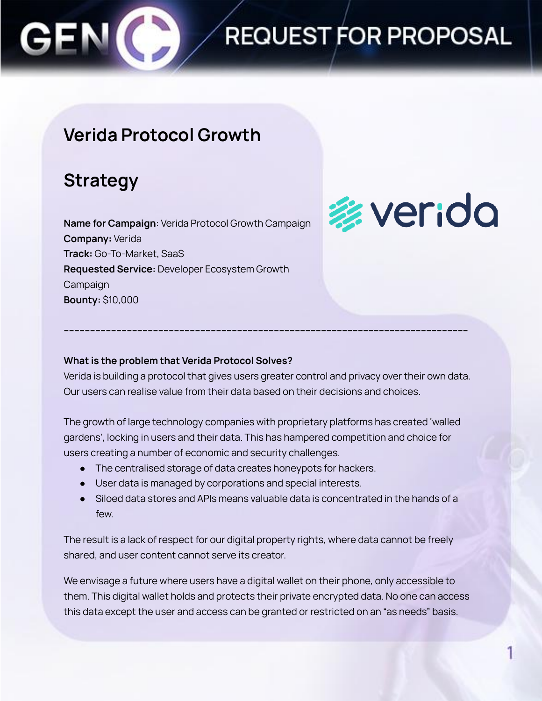

### **Verida Protocol Growth**

### **Strategy**

**Name for Campaign**: Verida Protocol Growth Campaign **Company:** Verida **Track:** Go-To-Market, SaaS **Requested Service:** Developer Ecosystem Growth Campaign **Bounty:** \$10,000

# **参verida**

#### **What is the problem that Verida Protocol Solves?**

Verida is building a protocol that gives users greater control and privacy over their own data. Our users can realise value from their data based on their decisions and choices.

**----------------------------------------------------------------------------------------------------------------------------------------------------------**

The growth of large technology companies with proprietary platforms has created 'walled gardens', locking in users and their data. This has hampered competition and choice for users creating a number of economic and security challenges.

- The centralised storage of data creates honeypots for hackers.
- User data is managed by corporations and special interests.
- Siloed data stores and APIs means valuable data is concentrated in the hands of a few.

The result is a lack of respect for our digital property rights, where data cannot be freely shared, and user content cannot serve its creator.

We envisage a future where users have a digital wallet on their phone, only accessible to them. This digital wallet holds and protects their private encrypted data. No one can access this data except the user and access can be granted or restricted on an "as needs" basis.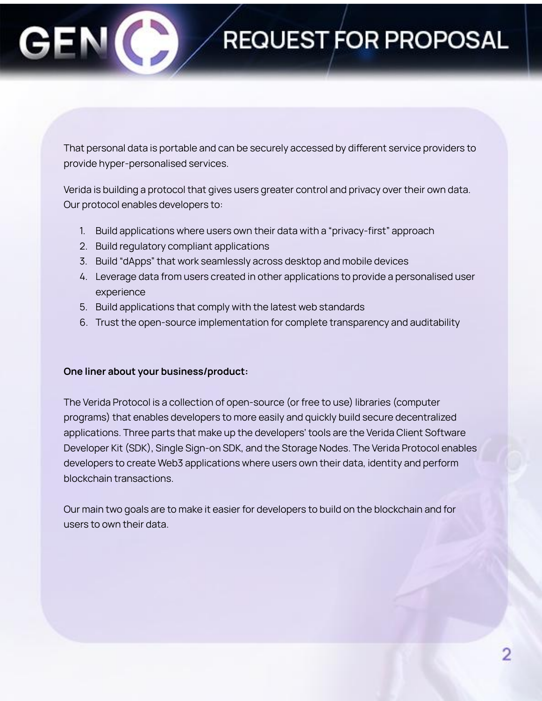That personal data is portable and can be securely accessed by different service providers to provide hyper-personalised services.

Verida is building a protocol that gives users greater control and privacy over their own data. Our protocol enables developers to:

- 1. Build applications where users own their data with a "privacy-first" approach
- 2. Build regulatory compliant applications
- 3. Build "dApps" that work seamlessly across desktop and mobile devices
- 4. Leverage data from users created in other applications to provide a personalised user experience
- 5. Build applications that comply with the latest web standards
- 6. Trust the open-source implementation for complete transparency and auditability

#### **One liner about your business/product:**

The Verida Protocol is a collection of open-source (or free to use) libraries (computer programs) that enables developers to more easily and quickly build secure decentralized applications. Three parts that make up the developers' tools are the Verida Client Software Developer Kit (SDK), Single Sign-on SDK, and the Storage Nodes. The Verida Protocol enables developers to create Web3 applications where users own their data, identity and perform blockchain transactions.

Our main two goals are to make it easier for developers to build on the blockchain and for users to own their data.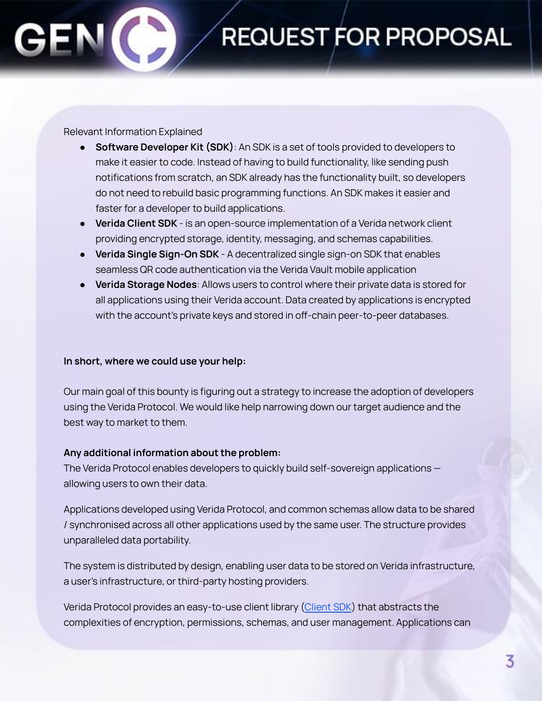#### Relevant Information Explained

- **Software Developer Kit (SDK)**: An SDK is a set of tools provided to developers to make it easier to code. Instead of having to build functionality, like sending push notifications from scratch, an SDK already has the functionality built, so developers do not need to rebuild basic programming functions. An SDK makes it easier and faster for a developer to build applications.
- **Verida Client SDK** is an open-source implementation of a Verida network client providing encrypted storage, identity, messaging, and schemas capabilities.
- **Verida Single Sign-On SDK** A decentralized single sign-on SDK that enables seamless QR code authentication via the Verida Vault mobile application
- **Verida Storage Nodes**: Allows users to control where their private data is stored for all applications using their Verida account. Data created by applications is encrypted with the account's private keys and stored in off-chain peer-to-peer databases.

#### **In short, where we could use your help:**

Our main goal of this bounty is figuring out a strategy to increase the adoption of developers using the Verida Protocol. We would like help narrowing down our target audience and the best way to market to them.

#### **Any additional information about the problem:**

The Verida Protocol enables developers to quickly build self-sovereign applications allowing users to own their data.

Applications developed using Verida Protocol, and common schemas allow data to be shared / synchronised across all other applications used by the same user. The structure provides unparalleled data portability.

The system is distributed by design, enabling user data to be stored on Verida infrastructure, a user's infrastructure, or third-party hosting providers.

Verida Protocol provides an easy-to-use client library [\(Client](https://docs.verida.io/client-sdk) SDK) that abstracts the complexities of encryption, permissions, schemas, and user management. Applications can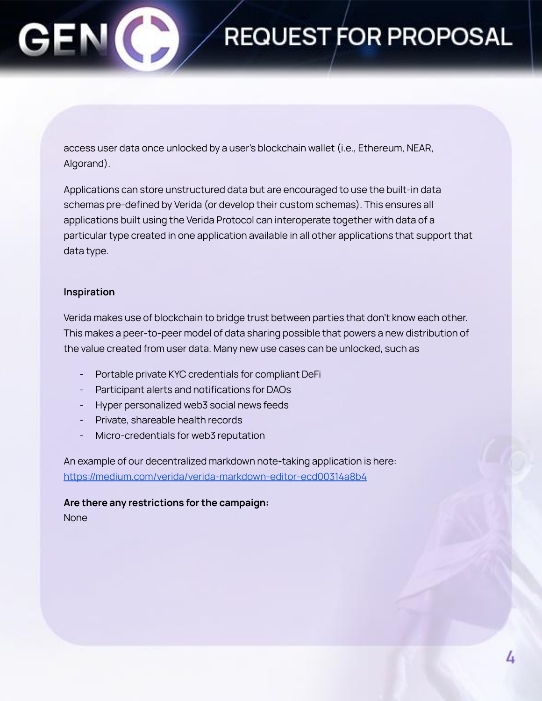

access user data once unlocked by a user's blockchain wallet (i.e., Ethereum, NEAR, Algorand).

Applications can store unstructured data but are encouraged to use the built-in data schemas pre-defined by Verida (or develop their custom schemas). This ensures all applications built using the Verida Protocol can interoperate together with data of a particular type created in one application available in all other applications that support that data type.

#### **Inspiration**

Verida makes use of blockchain to bridge trust between parties that don't know each other. This makes a peer-to-peer model of data sharing possible that powers a new distribution of the value created from user data. Many new use cases can be unlocked, such as

- Portable private KYC credentials for compliant DeFi
- Participant alerts and notifications for DAOs
- Hyper personalized web3 social news feeds
- Private, shareable health records
- Micro-credentials for web3 reputation

An example of our decentralized markdown note-taking application is here: <https://medium.com/verida/verida-markdown-editor-ecd00314a8b4>

**Are there any restrictions for the campaign:** None